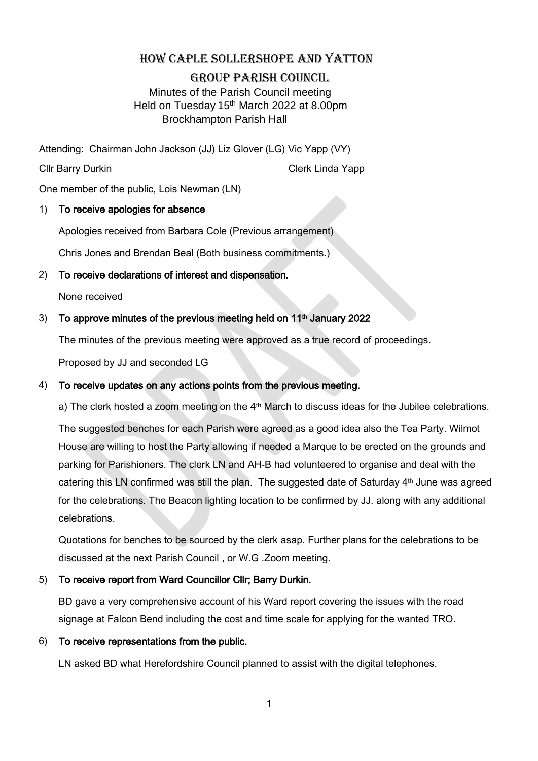# HOW CAPLE SOLLERSHOPE AND YATTON

#### GROUP PARISH COUNCIL

 Minutes of the Parish Council meeting Held on Tuesday 15<sup>th</sup> March 2022 at 8.00pm Brockhampton Parish Hall

Attending: Chairman John Jackson (JJ) Liz Glover (LG) Vic Yapp (VY)

Cllr Barry Durkin Clerk Linda Yapp

One member of the public, Lois Newman (LN)

### 1) To receive apologies for absence

Apologies received from Barbara Cole (Previous arrangement)

Chris Jones and Brendan Beal (Both business commitments.)

# 2) To receive declarations of interest and dispensation.

None received

# 3) To approve minutes of the previous meeting held on  $11<sup>th</sup>$  January 2022

The minutes of the previous meeting were approved as a true record of proceedings.

Proposed by JJ and seconded LG

## 4) To receive updates on any actions points from the previous meeting.

a) The clerk hosted a zoom meeting on the 4<sup>th</sup> March to discuss ideas for the Jubilee celebrations.

The suggested benches for each Parish were agreed as a good idea also the Tea Party. Wilmot House are willing to host the Party allowing if needed a Marque to be erected on the grounds and parking for Parishioners. The clerk LN and AH-B had volunteered to organise and deal with the catering this LN confirmed was still the plan. The suggested date of Saturday 4<sup>th</sup> June was agreed for the celebrations. The Beacon lighting location to be confirmed by JJ. along with any additional celebrations.

Quotations for benches to be sourced by the clerk asap. Further plans for the celebrations to be discussed at the next Parish Council , or W.G .Zoom meeting.

### 5) To receive report from Ward Councillor Cllr; Barry Durkin.

BD gave a very comprehensive account of his Ward report covering the issues with the road signage at Falcon Bend including the cost and time scale for applying for the wanted TRO.

### 6) To receive representations from the public.

LN asked BD what Herefordshire Council planned to assist with the digital telephones.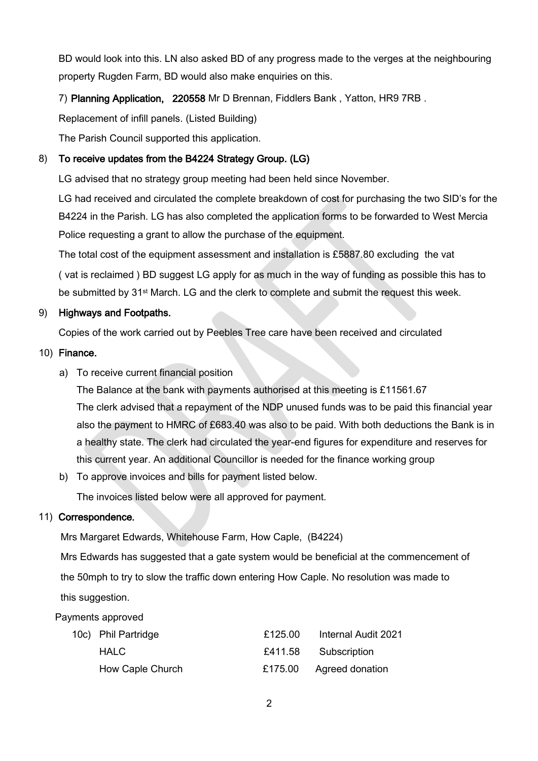BD would look into this. LN also asked BD of any progress made to the verges at the neighbouring property Rugden Farm, BD would also make enquiries on this.

7) Planning Application, 220558 Mr D Brennan, Fiddlers Bank , Yatton, HR9 7RB .

Replacement of infill panels. (Listed Building)

The Parish Council supported this application.

#### 8) To receive updates from the B4224 Strategy Group. (LG)

LG advised that no strategy group meeting had been held since November.

LG had received and circulated the complete breakdown of cost for purchasing the two SID's for the B4224 in the Parish. LG has also completed the application forms to be forwarded to West Mercia Police requesting a grant to allow the purchase of the equipment.

The total cost of the equipment assessment and installation is £5887.80 excluding the vat ( vat is reclaimed ) BD suggest LG apply for as much in the way of funding as possible this has to be submitted by 31st March. LG and the clerk to complete and submit the request this week.

### 9) Highways and Footpaths.

Copies of the work carried out by Peebles Tree care have been received and circulated

#### 10) Finance.

a) To receive current financial position

The Balance at the bank with payments authorised at this meeting is £11561.67 The clerk advised that a repayment of the NDP unused funds was to be paid this financial year also the payment to HMRC of £683.40 was also to be paid. With both deductions the Bank is in a healthy state. The clerk had circulated the year-end figures for expenditure and reserves for this current year. An additional Councillor is needed for the finance working group

b) To approve invoices and bills for payment listed below.

The invoices listed below were all approved for payment.

### 11) Correspondence.

Mrs Margaret Edwards, Whitehouse Farm, How Caple, (B4224)

 Mrs Edwards has suggested that a gate system would be beneficial at the commencement of the 50mph to try to slow the traffic down entering How Caple. No resolution was made to this suggestion.

Payments approved

| 10c) Phil Partridge | £125.00 | Internal Audit 2021     |
|---------------------|---------|-------------------------|
| HALC.               |         | £411.58 Subscription    |
| How Caple Church    |         | £175.00 Agreed donation |